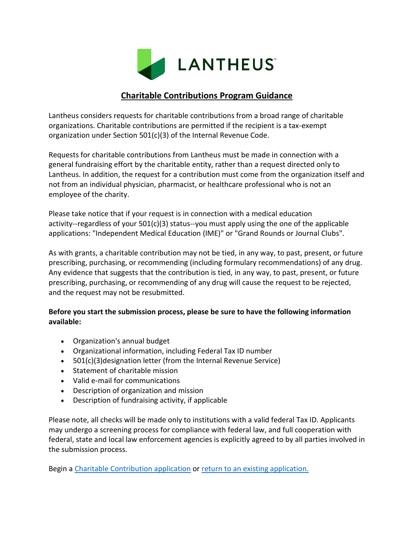

## **Charitable Contributions Program Guidance**

Lantheus considers requests for charitable contributions from a broad range of charitable organizations. Charitable contributions are permitted if the recipient is a tax-exempt organization under Section 501(c)(3) of the Internal Revenue Code.

Requests for charitable contributions from Lantheus must be made in connection with a general fundraising effort by the charitable entity, rather than a request directed only to Lantheus. In addition, the request for a contribution must come from the organization itself and not from an individual physician, pharmacist, or healthcare professional who is not an employee of the charity.

Please take notice that if your request is in connection with a medical education activity--regardless of your 501(c)(3) status--you must apply using the one of the applicable applications: "Independent Medical Education (IME)" or "Grand Rounds or Journal Clubs".

As with grants, a charitable contribution may not be tied, in any way, to past, present, or future prescribing, purchasing, or recommending (including formulary recommendations) of any drug. Any evidence that suggests that the contribution is tied, in any way, to past, present, or future prescribing, purchasing, or recommending of any drug will cause the request to be rejected, and the request may not be resubmitted.

## **Before you start the submission process, please be sure to have the following information available:**

- Organization's annual budget
- Organizational information, including Federal Tax ID number
- 501(c)(3)designation letter (from the Internal Revenue Service)
- Statement of charitable mission
- Valid e-mail for communications
- Description of organization and mission
- Description of fundraising activity, if applicable

Please note, all checks will be made only to institutions with a valid federal Tax ID. Applicants may undergo a screening process for compliance with federal law, and full cooperation with federal, state and local law enforcement agencies is explicitly agreed to by all parties involved in the submission process.

Begin a [Charitable Contribution application](https://www.grantrequest.com/SID_967?SA=SNA&FID=35018) or [return to an existing application.](https://www.grantrequest.com/SID_967/?SA=AM)